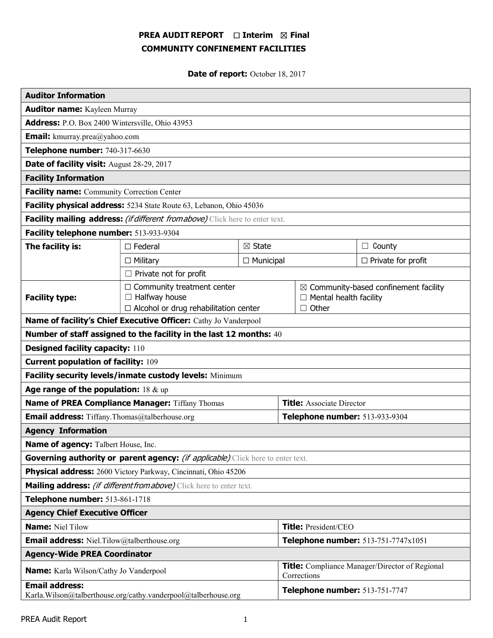# PREA AUDIT REPORT □ Interim 図 Final COMMUNITY CONFINEMENT FACILITIES

Date of report: October 18, 2017

| <b>Auditor Information</b>                                                              |                                                                                                           |                   |                                                                      |              |                                                                                   |  |
|-----------------------------------------------------------------------------------------|-----------------------------------------------------------------------------------------------------------|-------------------|----------------------------------------------------------------------|--------------|-----------------------------------------------------------------------------------|--|
| <b>Auditor name:</b> Kayleen Murray                                                     |                                                                                                           |                   |                                                                      |              |                                                                                   |  |
| Address: P.O. Box 2400 Wintersville, Ohio 43953                                         |                                                                                                           |                   |                                                                      |              |                                                                                   |  |
| <b>Email:</b> kmurray.prea@yahoo.com                                                    |                                                                                                           |                   |                                                                      |              |                                                                                   |  |
| Telephone number: 740-317-6630                                                          |                                                                                                           |                   |                                                                      |              |                                                                                   |  |
| Date of facility visit: August 28-29, 2017                                              |                                                                                                           |                   |                                                                      |              |                                                                                   |  |
| <b>Facility Information</b>                                                             |                                                                                                           |                   |                                                                      |              |                                                                                   |  |
| Facility name: Community Correction Center                                              |                                                                                                           |                   |                                                                      |              |                                                                                   |  |
| Facility physical address: 5234 State Route 63, Lebanon, Ohio 45036                     |                                                                                                           |                   |                                                                      |              |                                                                                   |  |
| Facility mailing address: <i>(if different from above)</i> Click here to enter text.    |                                                                                                           |                   |                                                                      |              |                                                                                   |  |
| Facility telephone number: 513-933-9304                                                 |                                                                                                           |                   |                                                                      |              |                                                                                   |  |
| The facility is:                                                                        | $\Box$ Federal                                                                                            | $\boxtimes$ State |                                                                      |              | $\Box$ County                                                                     |  |
|                                                                                         | $\Box$ Military                                                                                           | $\Box$ Municipal  |                                                                      |              | $\Box$ Private for profit                                                         |  |
|                                                                                         | $\Box$ Private not for profit                                                                             |                   |                                                                      |              |                                                                                   |  |
| <b>Facility type:</b>                                                                   | $\Box$ Community treatment center<br>$\Box$ Halfway house<br>$\Box$ Alcohol or drug rehabilitation center |                   |                                                                      | $\Box$ Other | $\boxtimes$ Community-based confinement facility<br>$\Box$ Mental health facility |  |
| Name of facility's Chief Executive Officer: Cathy Jo Vanderpool                         |                                                                                                           |                   |                                                                      |              |                                                                                   |  |
| Number of staff assigned to the facility in the last 12 months: 40                      |                                                                                                           |                   |                                                                      |              |                                                                                   |  |
| <b>Designed facility capacity: 110</b>                                                  |                                                                                                           |                   |                                                                      |              |                                                                                   |  |
| <b>Current population of facility: 109</b>                                              |                                                                                                           |                   |                                                                      |              |                                                                                   |  |
| Facility security levels/inmate custody levels: Minimum                                 |                                                                                                           |                   |                                                                      |              |                                                                                   |  |
| Age range of the population: $18 \& up$                                                 |                                                                                                           |                   |                                                                      |              |                                                                                   |  |
| Name of PREA Compliance Manager: Tiffany Thomas                                         |                                                                                                           |                   | <b>Title:</b> Associate Director                                     |              |                                                                                   |  |
| <b>Email address:</b> Tiffany.Thomas@talberhouse.org                                    |                                                                                                           |                   | Telephone number: 513-933-9304                                       |              |                                                                                   |  |
| <b>Agency Information</b>                                                               |                                                                                                           |                   |                                                                      |              |                                                                                   |  |
| Name of agency: Talbert House, Inc.                                                     |                                                                                                           |                   |                                                                      |              |                                                                                   |  |
| Governing authority or parent agency: <i>(if applicable)</i> Click here to enter text.  |                                                                                                           |                   |                                                                      |              |                                                                                   |  |
| Physical address: 2600 Victory Parkway, Cincinnati, Ohio 45206                          |                                                                                                           |                   |                                                                      |              |                                                                                   |  |
| Mailing address: <i>(if different from above)</i> Click here to enter text.             |                                                                                                           |                   |                                                                      |              |                                                                                   |  |
| Telephone number: 513-861-1718                                                          |                                                                                                           |                   |                                                                      |              |                                                                                   |  |
| <b>Agency Chief Executive Officer</b>                                                   |                                                                                                           |                   |                                                                      |              |                                                                                   |  |
| <b>Name: Niel Tilow</b>                                                                 |                                                                                                           |                   | Title: President/CEO                                                 |              |                                                                                   |  |
| <b>Email address:</b> Niel.Tilow@talberthouse.org                                       |                                                                                                           |                   | Telephone number: 513-751-7747x1051                                  |              |                                                                                   |  |
| <b>Agency-Wide PREA Coordinator</b>                                                     |                                                                                                           |                   |                                                                      |              |                                                                                   |  |
| <b>Name:</b> Karla Wilson/Cathy Jo Vanderpool                                           |                                                                                                           |                   | <b>Title:</b> Compliance Manager/Director of Regional<br>Corrections |              |                                                                                   |  |
| <b>Email address:</b><br>Karla.Wilson@talberthouse.org/cathy.vanderpool@talberhouse.org |                                                                                                           |                   | Telephone number: 513-751-7747                                       |              |                                                                                   |  |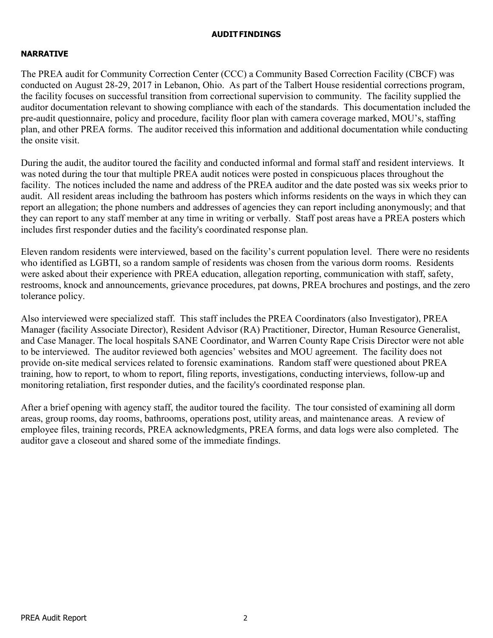# AUDIT FINDINGS

# NARRATIVE

The PREA audit for Community Correction Center (CCC) a Community Based Correction Facility (CBCF) was conducted on August 28-29, 2017 in Lebanon, Ohio. As part of the Talbert House residential corrections program, the facility focuses on successful transition from correctional supervision to community. The facility supplied the auditor documentation relevant to showing compliance with each of the standards. This documentation included the pre-audit questionnaire, policy and procedure, facility floor plan with camera coverage marked, MOU's, staffing plan, and other PREA forms. The auditor received this information and additional documentation while conducting the onsite visit.

During the audit, the auditor toured the facility and conducted informal and formal staff and resident interviews. It was noted during the tour that multiple PREA audit notices were posted in conspicuous places throughout the facility. The notices included the name and address of the PREA auditor and the date posted was six weeks prior to audit. All resident areas including the bathroom has posters which informs residents on the ways in which they can report an allegation; the phone numbers and addresses of agencies they can report including anonymously; and that they can report to any staff member at any time in writing or verbally. Staff post areas have a PREA posters which includes first responder duties and the facility's coordinated response plan.

Eleven random residents were interviewed, based on the facility's current population level. There were no residents who identified as LGBTI, so a random sample of residents was chosen from the various dorm rooms. Residents were asked about their experience with PREA education, allegation reporting, communication with staff, safety, restrooms, knock and announcements, grievance procedures, pat downs, PREA brochures and postings, and the zero tolerance policy.

Also interviewed were specialized staff. This staff includes the PREA Coordinators (also Investigator), PREA Manager (facility Associate Director), Resident Advisor (RA) Practitioner, Director, Human Resource Generalist, and Case Manager. The local hospitals SANE Coordinator, and Warren County Rape Crisis Director were not able to be interviewed. The auditor reviewed both agencies' websites and MOU agreement. The facility does not provide on-site medical services related to forensic examinations. Random staff were questioned about PREA training, how to report, to whom to report, filing reports, investigations, conducting interviews, follow-up and monitoring retaliation, first responder duties, and the facility's coordinated response plan.

After a brief opening with agency staff, the auditor toured the facility. The tour consisted of examining all dorm areas, group rooms, day rooms, bathrooms, operations post, utility areas, and maintenance areas. A review of employee files, training records, PREA acknowledgments, PREA forms, and data logs were also completed. The auditor gave a closeout and shared some of the immediate findings.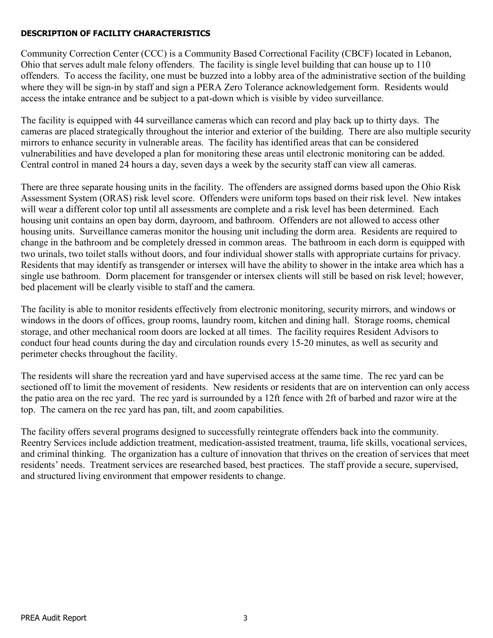# DESCRIPTION OF FACILITY CHARACTERISTICS

Community Correction Center (CCC) is a Community Based Correctional Facility (CBCF) located in Lebanon, Ohio that serves adult male felony offenders. The facility is single level building that can house up to 110 offenders. To access the facility, one must be buzzed into a lobby area of the administrative section of the building where they will be sign-in by staff and sign a PERA Zero Tolerance acknowledgement form. Residents would access the intake entrance and be subject to a pat-down which is visible by video surveillance.

The facility is equipped with 44 surveillance cameras which can record and play back up to thirty days. The cameras are placed strategically throughout the interior and exterior of the building. There are also multiple security mirrors to enhance security in vulnerable areas. The facility has identified areas that can be considered vulnerabilities and have developed a plan for monitoring these areas until electronic monitoring can be added. Central control in maned 24 hours a day, seven days a week by the security staff can view all cameras.

There are three separate housing units in the facility. The offenders are assigned dorms based upon the Ohio Risk Assessment System (ORAS) risk level score. Offenders were uniform tops based on their risk level. New intakes will wear a different color top until all assessments are complete and a risk level has been determined. Each housing unit contains an open bay dorm, dayroom, and bathroom. Offenders are not allowed to access other housing units. Surveillance cameras monitor the housing unit including the dorm area. Residents are required to change in the bathroom and be completely dressed in common areas. The bathroom in each dorm is equipped with two urinals, two toilet stalls without doors, and four individual shower stalls with appropriate curtains for privacy. Residents that may identify as transgender or intersex will have the ability to shower in the intake area which has a single use bathroom. Dorm placement for transgender or intersex clients will still be based on risk level; however, bed placement will be clearly visible to staff and the camera.

The facility is able to monitor residents effectively from electronic monitoring, security mirrors, and windows or windows in the doors of offices, group rooms, laundry room, kitchen and dining hall. Storage rooms, chemical storage, and other mechanical room doors are locked at all times. The facility requires Resident Advisors to conduct four head counts during the day and circulation rounds every 15-20 minutes, as well as security and perimeter checks throughout the facility.

The residents will share the recreation yard and have supervised access at the same time. The rec yard can be sectioned off to limit the movement of residents. New residents or residents that are on intervention can only access the patio area on the rec yard. The rec yard is surrounded by a 12ft fence with 2ft of barbed and razor wire at the top. The camera on the rec yard has pan, tilt, and zoom capabilities.

The facility offers several programs designed to successfully reintegrate offenders back into the community. Reentry Services include addiction treatment, medication-assisted treatment, trauma, life skills, vocational services, and criminal thinking. The organization has a culture of innovation that thrives on the creation of services that meet residents' needs. Treatment services are researched based, best practices. The staff provide a secure, supervised, and structured living environment that empower residents to change.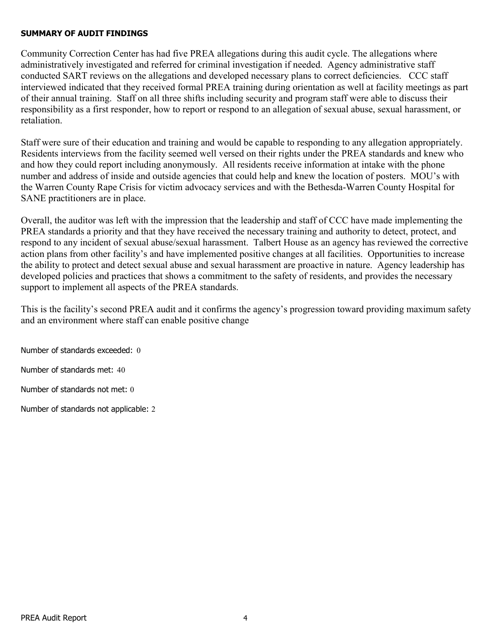# SUMMARY OF AUDIT FINDINGS

Community Correction Center has had five PREA allegations during this audit cycle. The allegations where administratively investigated and referred for criminal investigation if needed. Agency administrative staff conducted SART reviews on the allegations and developed necessary plans to correct deficiencies. CCC staff interviewed indicated that they received formal PREA training during orientation as well at facility meetings as part of their annual training. Staff on all three shifts including security and program staff were able to discuss their responsibility as a first responder, how to report or respond to an allegation of sexual abuse, sexual harassment, or retaliation.

Staff were sure of their education and training and would be capable to responding to any allegation appropriately. Residents interviews from the facility seemed well versed on their rights under the PREA standards and knew who and how they could report including anonymously. All residents receive information at intake with the phone number and address of inside and outside agencies that could help and knew the location of posters. MOU's with the Warren County Rape Crisis for victim advocacy services and with the Bethesda-Warren County Hospital for SANE practitioners are in place.

Overall, the auditor was left with the impression that the leadership and staff of CCC have made implementing the PREA standards a priority and that they have received the necessary training and authority to detect, protect, and respond to any incident of sexual abuse/sexual harassment. Talbert House as an agency has reviewed the corrective action plans from other facility's and have implemented positive changes at all facilities. Opportunities to increase the ability to protect and detect sexual abuse and sexual harassment are proactive in nature. Agency leadership has developed policies and practices that shows a commitment to the safety of residents, and provides the necessary support to implement all aspects of the PREA standards.

This is the facility's second PREA audit and it confirms the agency's progression toward providing maximum safety and an environment where staff can enable positive change

Number of standards exceeded: 0 Number of standards met: 40 Number of standards not met: 0 Number of standards not applicable: 2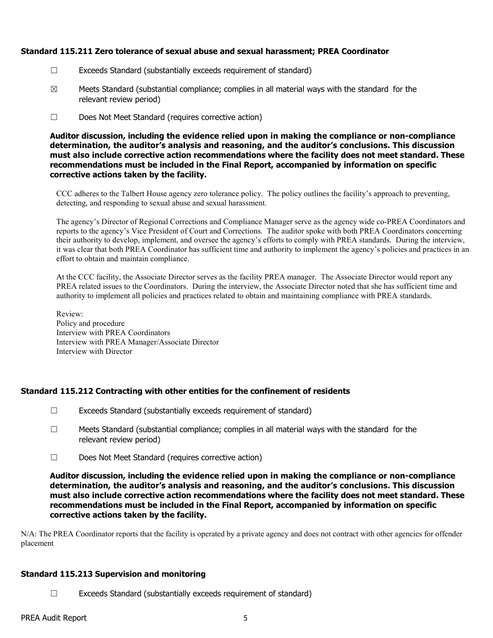### Standard 115.211 Zero tolerance of sexual abuse and sexual harassment; PREA Coordinator

- ☐ Exceeds Standard (substantially exceeds requirement of standard)
- $\boxtimes$  Meets Standard (substantial compliance; complies in all material ways with the standard for the relevant review period)
- ☐ Does Not Meet Standard (requires corrective action)

Auditor discussion, including the evidence relied upon in making the compliance or non-compliance determination, the auditor's analysis and reasoning, and the auditor's conclusions. This discussion must also include corrective action recommendations where the facility does not meet standard. These recommendations must be included in the Final Report, accompanied by information on specific corrective actions taken by the facility.

CCC adheres to the Talbert House agency zero tolerance policy. The policy outlines the facility's approach to preventing, detecting, and responding to sexual abuse and sexual harassment.

The agency's Director of Regional Corrections and Compliance Manager serve as the agency wide co-PREA Coordinators and reports to the agency's Vice President of Court and Corrections. The auditor spoke with both PREA Coordinators concerning their authority to develop, implement, and oversee the agency's efforts to comply with PREA standards. During the interview, it was clear that both PREA Coordinator has sufficient time and authority to implement the agency's policies and practices in an effort to obtain and maintain compliance.

At the CCC facility, the Associate Director serves as the facility PREA manager. The Associate Director would report any PREA related issues to the Coordinators. During the interview, the Associate Director noted that she has sufficient time and authority to implement all policies and practices related to obtain and maintaining compliance with PREA standards.

Review: Policy and procedure Interview with PREA Coordinators Interview with PREA Manager/Associate Director Interview with Director

## Standard 115.212 Contracting with other entities for the confinement of residents

- $\Box$  Exceeds Standard (substantially exceeds requirement of standard)
- $\Box$  Meets Standard (substantial compliance; complies in all material ways with the standard for the relevant review period)
- ☐ Does Not Meet Standard (requires corrective action)

Auditor discussion, including the evidence relied upon in making the compliance or non-compliance determination, the auditor's analysis and reasoning, and the auditor's conclusions. This discussion must also include corrective action recommendations where the facility does not meet standard. These recommendations must be included in the Final Report, accompanied by information on specific corrective actions taken by the facility.

N/A: The PREA Coordinator reports that the facility is operated by a private agency and does not contract with other agencies for offender placement

## Standard 115.213 Supervision and monitoring

☐ Exceeds Standard (substantially exceeds requirement of standard)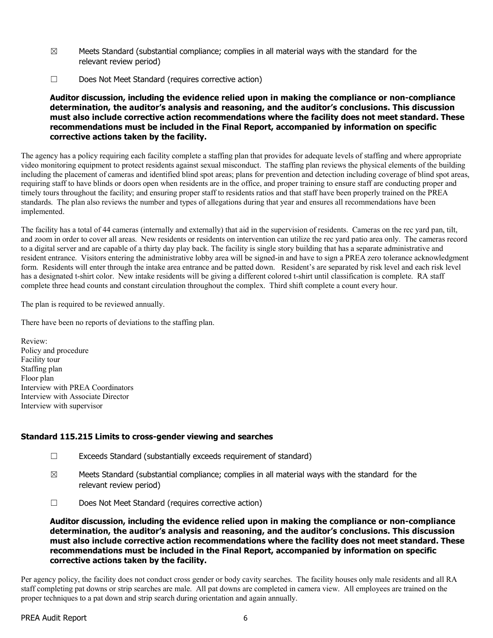- $\boxtimes$  Meets Standard (substantial compliance; complies in all material ways with the standard for the relevant review period)
- ☐ Does Not Meet Standard (requires corrective action)

Auditor discussion, including the evidence relied upon in making the compliance or non-compliance determination, the auditor's analysis and reasoning, and the auditor's conclusions. This discussion must also include corrective action recommendations where the facility does not meet standard. These recommendations must be included in the Final Report, accompanied by information on specific corrective actions taken by the facility.

The agency has a policy requiring each facility complete a staffing plan that provides for adequate levels of staffing and where appropriate video monitoring equipment to protect residents against sexual misconduct. The staffing plan reviews the physical elements of the building including the placement of cameras and identified blind spot areas; plans for prevention and detection including coverage of blind spot areas, requiring staff to have blinds or doors open when residents are in the office, and proper training to ensure staff are conducting proper and timely tours throughout the facility; and ensuring proper staff to residents ratios and that staff have been properly trained on the PREA standards. The plan also reviews the number and types of allegations during that year and ensures all recommendations have been implemented.

The facility has a total of 44 cameras (internally and externally) that aid in the supervision of residents. Cameras on the rec yard pan, tilt, and zoom in order to cover all areas. New residents or residents on intervention can utilize the rec yard patio area only. The cameras record to a digital server and are capable of a thirty day play back. The facility is single story building that has a separate administrative and resident entrance. Visitors entering the administrative lobby area will be signed-in and have to sign a PREA zero tolerance acknowledgment form. Residents will enter through the intake area entrance and be patted down. Resident's are separated by risk level and each risk level has a designated t-shirt color. New intake residents will be giving a different colored t-shirt until classification is complete. RA staff complete three head counts and constant circulation throughout the complex. Third shift complete a count every hour.

The plan is required to be reviewed annually.

There have been no reports of deviations to the staffing plan.

Review: Policy and procedure Facility tour Staffing plan Floor plan Interview with PREA Coordinators Interview with Associate Director Interview with supervisor

# Standard 115.215 Limits to cross-gender viewing and searches

- ☐ Exceeds Standard (substantially exceeds requirement of standard)
- $\boxtimes$  Meets Standard (substantial compliance; complies in all material ways with the standard for the relevant review period)
- ☐ Does Not Meet Standard (requires corrective action)

Auditor discussion, including the evidence relied upon in making the compliance or non-compliance determination, the auditor's analysis and reasoning, and the auditor's conclusions. This discussion must also include corrective action recommendations where the facility does not meet standard. These recommendations must be included in the Final Report, accompanied by information on specific corrective actions taken by the facility.

Per agency policy, the facility does not conduct cross gender or body cavity searches. The facility houses only male residents and all RA staff completing pat downs or strip searches are male. All pat downs are completed in camera view. All employees are trained on the proper techniques to a pat down and strip search during orientation and again annually.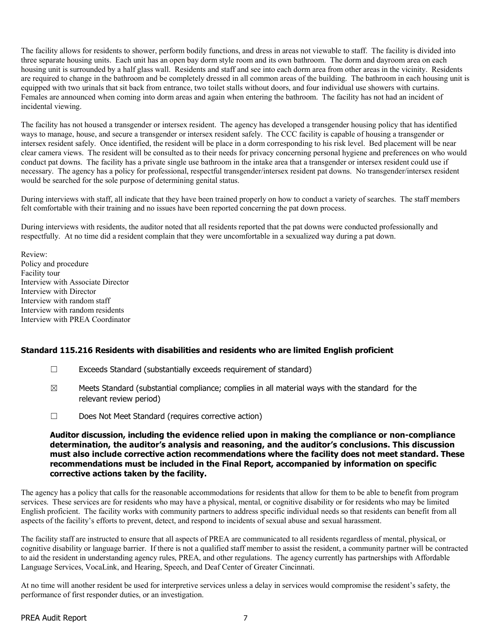The facility allows for residents to shower, perform bodily functions, and dress in areas not viewable to staff. The facility is divided into three separate housing units. Each unit has an open bay dorm style room and its own bathroom. The dorm and dayroom area on each housing unit is surrounded by a half glass wall. Residents and staff and see into each dorm area from other areas in the vicinity. Residents are required to change in the bathroom and be completely dressed in all common areas of the building. The bathroom in each housing unit is equipped with two urinals that sit back from entrance, two toilet stalls without doors, and four individual use showers with curtains. Females are announced when coming into dorm areas and again when entering the bathroom. The facility has not had an incident of incidental viewing.

The facility has not housed a transgender or intersex resident. The agency has developed a transgender housing policy that has identified ways to manage, house, and secure a transgender or intersex resident safely. The CCC facility is capable of housing a transgender or intersex resident safely. Once identified, the resident will be place in a dorm corresponding to his risk level. Bed placement will be near clear camera views. The resident will be consulted as to their needs for privacy concerning personal hygiene and preferences on who would conduct pat downs. The facility has a private single use bathroom in the intake area that a transgender or intersex resident could use if necessary. The agency has a policy for professional, respectful transgender/intersex resident pat downs. No transgender/intersex resident would be searched for the sole purpose of determining genital status.

During interviews with staff, all indicate that they have been trained properly on how to conduct a variety of searches. The staff members felt comfortable with their training and no issues have been reported concerning the pat down process.

During interviews with residents, the auditor noted that all residents reported that the pat downs were conducted professionally and respectfully. At no time did a resident complain that they were uncomfortable in a sexualized way during a pat down.

Review: Policy and procedure Facility tour Interview with Associate Director Interview with Director Interview with random staff Interview with random residents Interview with PREA Coordinator

## Standard 115.216 Residents with disabilities and residents who are limited English proficient

- ☐ Exceeds Standard (substantially exceeds requirement of standard)
- $\boxtimes$  Meets Standard (substantial compliance; complies in all material ways with the standard for the relevant review period)
- ☐ Does Not Meet Standard (requires corrective action)

#### Auditor discussion, including the evidence relied upon in making the compliance or non-compliance determination, the auditor's analysis and reasoning, and the auditor's conclusions. This discussion must also include corrective action recommendations where the facility does not meet standard. These recommendations must be included in the Final Report, accompanied by information on specific corrective actions taken by the facility.

The agency has a policy that calls for the reasonable accommodations for residents that allow for them to be able to benefit from program services. These services are for residents who may have a physical, mental, or cognitive disability or for residents who may be limited English proficient. The facility works with community partners to address specific individual needs so that residents can benefit from all aspects of the facility's efforts to prevent, detect, and respond to incidents of sexual abuse and sexual harassment.

The facility staff are instructed to ensure that all aspects of PREA are communicated to all residents regardless of mental, physical, or cognitive disability or language barrier. If there is not a qualified staff member to assist the resident, a community partner will be contracted to aid the resident in understanding agency rules, PREA, and other regulations. The agency currently has partnerships with Affordable Language Services, VocaLink, and Hearing, Speech, and Deaf Center of Greater Cincinnati.

At no time will another resident be used for interpretive services unless a delay in services would compromise the resident's safety, the performance of first responder duties, or an investigation.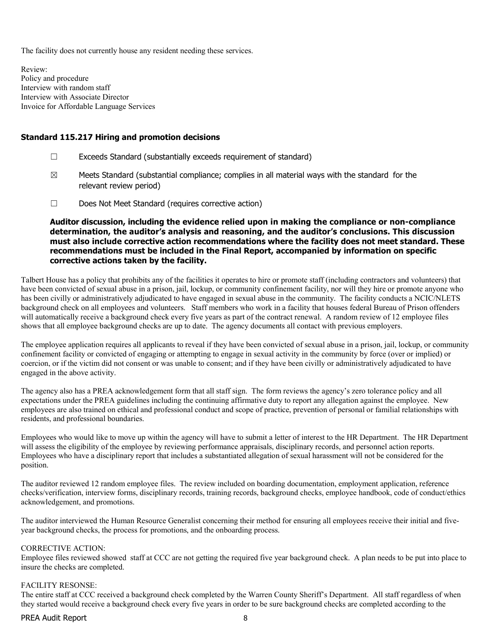The facility does not currently house any resident needing these services.

Review: Policy and procedure Interview with random staff Interview with Associate Director Invoice for Affordable Language Services

#### Standard 115.217 Hiring and promotion decisions

- ☐ Exceeds Standard (substantially exceeds requirement of standard)
- $\boxtimes$  Meets Standard (substantial compliance; complies in all material ways with the standard for the relevant review period)
- ☐ Does Not Meet Standard (requires corrective action)

Auditor discussion, including the evidence relied upon in making the compliance or non-compliance determination, the auditor's analysis and reasoning, and the auditor's conclusions. This discussion must also include corrective action recommendations where the facility does not meet standard. These recommendations must be included in the Final Report, accompanied by information on specific corrective actions taken by the facility.

Talbert House has a policy that prohibits any of the facilities it operates to hire or promote staff (including contractors and volunteers) that have been convicted of sexual abuse in a prison, jail, lockup, or community confinement facility, nor will they hire or promote anyone who has been civilly or administratively adjudicated to have engaged in sexual abuse in the community. The facility conducts a NCIC/NLETS background check on all employees and volunteers. Staff members who work in a facility that houses federal Bureau of Prison offenders will automatically receive a background check every five years as part of the contract renewal. A random review of 12 employee files shows that all employee background checks are up to date. The agency documents all contact with previous employers.

The employee application requires all applicants to reveal if they have been convicted of sexual abuse in a prison, jail, lockup, or community confinement facility or convicted of engaging or attempting to engage in sexual activity in the community by force (over or implied) or coercion, or if the victim did not consent or was unable to consent; and if they have been civilly or administratively adjudicated to have engaged in the above activity.

The agency also has a PREA acknowledgement form that all staff sign. The form reviews the agency's zero tolerance policy and all expectations under the PREA guidelines including the continuing affirmative duty to report any allegation against the employee. New employees are also trained on ethical and professional conduct and scope of practice, prevention of personal or familial relationships with residents, and professional boundaries.

Employees who would like to move up within the agency will have to submit a letter of interest to the HR Department. The HR Department will assess the eligibility of the employee by reviewing performance appraisals, disciplinary records, and personnel action reports. Employees who have a disciplinary report that includes a substantiated allegation of sexual harassment will not be considered for the position.

The auditor reviewed 12 random employee files. The review included on boarding documentation, employment application, reference checks/verification, interview forms, disciplinary records, training records, background checks, employee handbook, code of conduct/ethics acknowledgement, and promotions.

The auditor interviewed the Human Resource Generalist concerning their method for ensuring all employees receive their initial and fiveyear background checks, the process for promotions, and the onboarding process.

#### CORRECTIVE ACTION:

Employee files reviewed showed staff at CCC are not getting the required five year background check. A plan needs to be put into place to insure the checks are completed.

#### FACILITY RESONSE:

The entire staff at CCC received a background check completed by the Warren County Sheriff's Department. All staff regardless of when they started would receive a background check every five years in order to be sure background checks are completed according to the

#### PREA Audit Report 8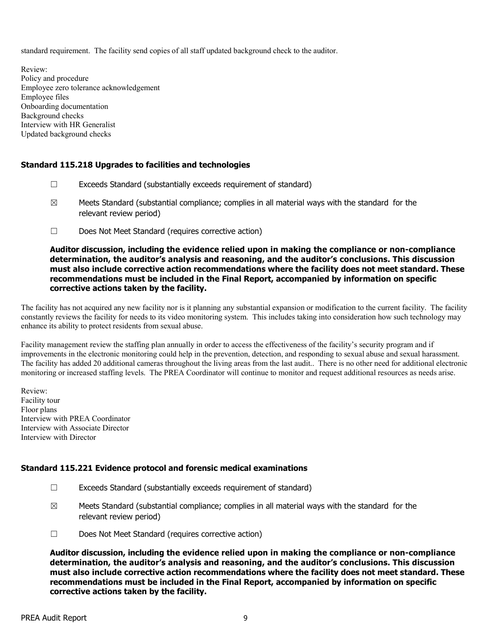standard requirement. The facility send copies of all staff updated background check to the auditor.

Review: Policy and procedure Employee zero tolerance acknowledgement Employee files Onboarding documentation Background checks Interview with HR Generalist Updated background checks

# Standard 115.218 Upgrades to facilities and technologies

- ☐ Exceeds Standard (substantially exceeds requirement of standard)
- $\boxtimes$  Meets Standard (substantial compliance; complies in all material ways with the standard for the relevant review period)
- ☐ Does Not Meet Standard (requires corrective action)

#### Auditor discussion, including the evidence relied upon in making the compliance or non-compliance determination, the auditor's analysis and reasoning, and the auditor's conclusions. This discussion must also include corrective action recommendations where the facility does not meet standard. These recommendations must be included in the Final Report, accompanied by information on specific corrective actions taken by the facility.

The facility has not acquired any new facility nor is it planning any substantial expansion or modification to the current facility. The facility constantly reviews the facility for needs to its video monitoring system. This includes taking into consideration how such technology may enhance its ability to protect residents from sexual abuse.

Facility management review the staffing plan annually in order to access the effectiveness of the facility's security program and if improvements in the electronic monitoring could help in the prevention, detection, and responding to sexual abuse and sexual harassment. The facility has added 20 additional cameras throughout the living areas from the last audit.. There is no other need for additional electronic monitoring or increased staffing levels. The PREA Coordinator will continue to monitor and request additional resources as needs arise.

Review: Facility tour Floor plans Interview with PREA Coordinator Interview with Associate Director Interview with Director

## Standard 115.221 Evidence protocol and forensic medical examinations

- ☐ Exceeds Standard (substantially exceeds requirement of standard)
- $\boxtimes$  Meets Standard (substantial compliance; complies in all material ways with the standard for the relevant review period)
- ☐ Does Not Meet Standard (requires corrective action)

Auditor discussion, including the evidence relied upon in making the compliance or non-compliance determination, the auditor's analysis and reasoning, and the auditor's conclusions. This discussion must also include corrective action recommendations where the facility does not meet standard. These recommendations must be included in the Final Report, accompanied by information on specific corrective actions taken by the facility.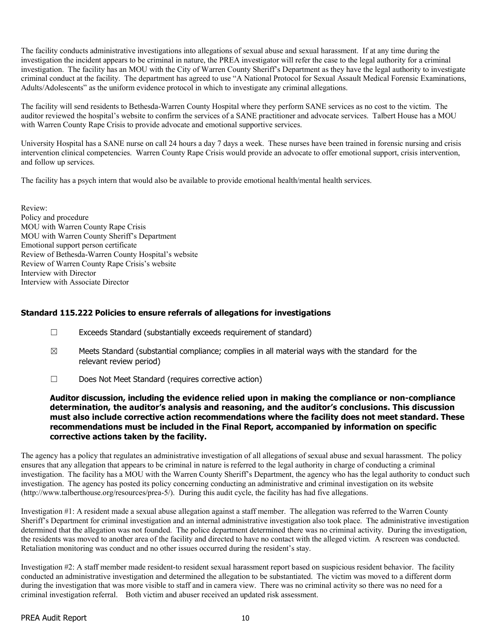The facility conducts administrative investigations into allegations of sexual abuse and sexual harassment. If at any time during the investigation the incident appears to be criminal in nature, the PREA investigator will refer the case to the legal authority for a criminal investigation. The facility has an MOU with the City of Warren County Sheriff's Department as they have the legal authority to investigate criminal conduct at the facility. The department has agreed to use "A National Protocol for Sexual Assault Medical Forensic Examinations, Adults/Adolescents" as the uniform evidence protocol in which to investigate any criminal allegations.

The facility will send residents to Bethesda-Warren County Hospital where they perform SANE services as no cost to the victim. The auditor reviewed the hospital's website to confirm the services of a SANE practitioner and advocate services. Talbert House has a MOU with Warren County Rape Crisis to provide advocate and emotional supportive services.

University Hospital has a SANE nurse on call 24 hours a day 7 days a week. These nurses have been trained in forensic nursing and crisis intervention clinical competencies. Warren County Rape Crisis would provide an advocate to offer emotional support, crisis intervention, and follow up services.

The facility has a psych intern that would also be available to provide emotional health/mental health services.

Review: Policy and procedure MOU with Warren County Rape Crisis MOU with Warren County Sheriff's Department Emotional support person certificate Review of Bethesda-Warren County Hospital's website Review of Warren County Rape Crisis's website Interview with Director Interview with Associate Director

## Standard 115.222 Policies to ensure referrals of allegations for investigations

- ☐ Exceeds Standard (substantially exceeds requirement of standard)
- $\boxtimes$  Meets Standard (substantial compliance; complies in all material ways with the standard for the relevant review period)
- ☐ Does Not Meet Standard (requires corrective action)

#### Auditor discussion, including the evidence relied upon in making the compliance or non-compliance determination, the auditor's analysis and reasoning, and the auditor's conclusions. This discussion must also include corrective action recommendations where the facility does not meet standard. These recommendations must be included in the Final Report, accompanied by information on specific corrective actions taken by the facility.

The agency has a policy that regulates an administrative investigation of all allegations of sexual abuse and sexual harassment. The policy ensures that any allegation that appears to be criminal in nature is referred to the legal authority in charge of conducting a criminal investigation. The facility has a MOU with the Warren County Sheriff's Department, the agency who has the legal authority to conduct such investigation. The agency has posted its policy concerning conducting an administrative and criminal investigation on its website (http://www.talberthouse.org/resources/prea-5/). During this audit cycle, the facility has had five allegations.

Investigation #1: A resident made a sexual abuse allegation against a staff member. The allegation was referred to the Warren County Sheriff's Department for criminal investigation and an internal administrative investigation also took place. The administrative investigation determined that the allegation was not founded. The police department determined there was no criminal activity. During the investigation, the residents was moved to another area of the facility and directed to have no contact with the alleged victim. A rescreen was conducted. Retaliation monitoring was conduct and no other issues occurred during the resident's stay.

Investigation #2: A staff member made resident-to resident sexual harassment report based on suspicious resident behavior. The facility conducted an administrative investigation and determined the allegation to be substantiated. The victim was moved to a different dorm during the investigation that was more visible to staff and in camera view. There was no criminal activity so there was no need for a criminal investigation referral. Both victim and abuser received an updated risk assessment.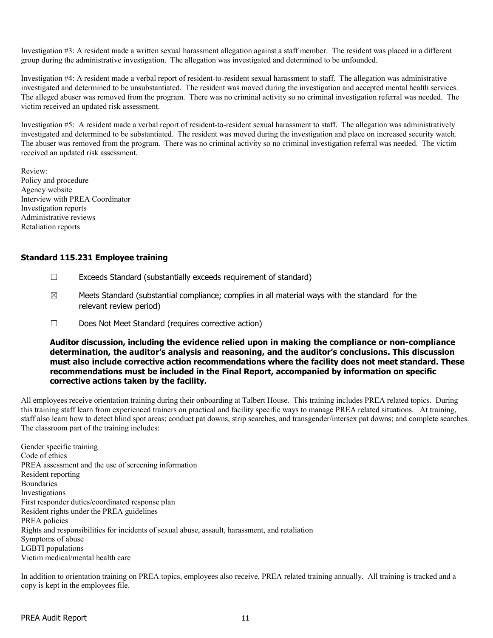Investigation #3: A resident made a written sexual harassment allegation against a staff member. The resident was placed in a different group during the administrative investigation. The allegation was investigated and determined to be unfounded.

Investigation #4: A resident made a verbal report of resident-to-resident sexual harassment to staff. The allegation was administrative investigated and determined to be unsubstantiated. The resident was moved during the investigation and accepted mental health services. The alleged abuser was removed from the program. There was no criminal activity so no criminal investigation referral was needed. The victim received an updated risk assessment.

Investigation #5: A resident made a verbal report of resident-to-resident sexual harassment to staff. The allegation was administratively investigated and determined to be substantiated. The resident was moved during the investigation and place on increased security watch. The abuser was removed from the program. There was no criminal activity so no criminal investigation referral was needed. The victim received an updated risk assessment.

Review: Policy and procedure Agency website Interview with PREA Coordinator Investigation reports Administrative reviews Retaliation reports

## Standard 115.231 Employee training

- ☐ Exceeds Standard (substantially exceeds requirement of standard)
- $\boxtimes$  Meets Standard (substantial compliance; complies in all material ways with the standard for the relevant review period)
- ☐ Does Not Meet Standard (requires corrective action)

Auditor discussion, including the evidence relied upon in making the compliance or non-compliance determination, the auditor's analysis and reasoning, and the auditor's conclusions. This discussion must also include corrective action recommendations where the facility does not meet standard. These recommendations must be included in the Final Report, accompanied by information on specific corrective actions taken by the facility.

All employees receive orientation training during their onboarding at Talbert House. This training includes PREA related topics. During this training staff learn from experienced trainers on practical and facility specific ways to manage PREA related situations. At training, staff also learn how to detect blind spot areas; conduct pat downs, strip searches, and transgender/intersex pat downs; and complete searches. The classroom part of the training includes:

Gender specific training Code of ethics PREA assessment and the use of screening information Resident reporting Boundaries Investigations First responder duties/coordinated response plan Resident rights under the PREA guidelines PREA policies Rights and responsibilities for incidents of sexual abuse, assault, harassment, and retaliation Symptoms of abuse LGBTI populations Victim medical/mental health care

In addition to orientation training on PREA topics, employees also receive, PREA related training annually. All training is tracked and a copy is kept in the employees file.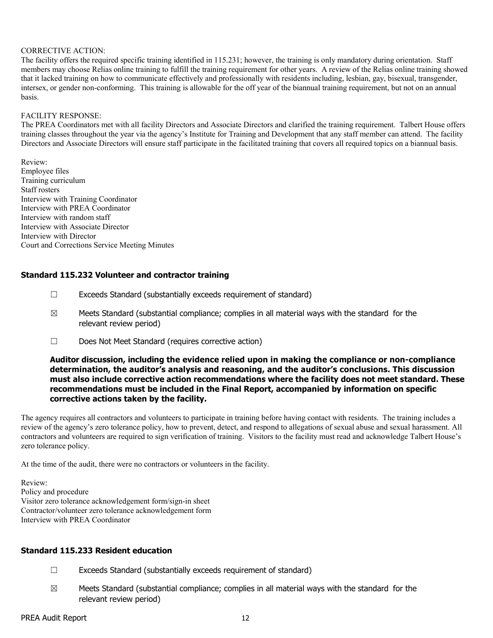#### CORRECTIVE ACTION:

The facility offers the required specific training identified in 115.231; however, the training is only mandatory during orientation. Staff members may choose Relias online training to fulfill the training requirement for other years. A review of the Relias online training showed that it lacked training on how to communicate effectively and professionally with residents including, lesbian, gay, bisexual, transgender, intersex, or gender non-conforming. This training is allowable for the off year of the biannual training requirement, but not on an annual basis.

#### FACILITY RESPONSE:

The PREA Coordinators met with all facility Directors and Associate Directors and clarified the training requirement. Talbert House offers training classes throughout the year via the agency's Institute for Training and Development that any staff member can attend. The facility Directors and Associate Directors will ensure staff participate in the facilitated training that covers all required topics on a biannual basis.

Review: Employee files Training curriculum Staff rosters Interview with Training Coordinator Interview with PREA Coordinator Interview with random staff Interview with Associate Director Interview with Director Court and Corrections Service Meeting Minutes

# Standard 115.232 Volunteer and contractor training

- $\Box$  Exceeds Standard (substantially exceeds requirement of standard)
- $\boxtimes$  Meets Standard (substantial compliance; complies in all material ways with the standard for the relevant review period)
- ☐ Does Not Meet Standard (requires corrective action)

Auditor discussion, including the evidence relied upon in making the compliance or non-compliance determination, the auditor's analysis and reasoning, and the auditor's conclusions. This discussion must also include corrective action recommendations where the facility does not meet standard. These recommendations must be included in the Final Report, accompanied by information on specific corrective actions taken by the facility.

The agency requires all contractors and volunteers to participate in training before having contact with residents. The training includes a review of the agency's zero tolerance policy, how to prevent, detect, and respond to allegations of sexual abuse and sexual harassment. All contractors and volunteers are required to sign verification of training. Visitors to the facility must read and acknowledge Talbert House's zero tolerance policy.

At the time of the audit, there were no contractors or volunteers in the facility.

Review: Policy and procedure Visitor zero tolerance acknowledgement form/sign-in sheet Contractor/volunteer zero tolerance acknowledgement form Interview with PREA Coordinator

#### Standard 115.233 Resident education

- ☐ Exceeds Standard (substantially exceeds requirement of standard)
- $\boxtimes$  Meets Standard (substantial compliance; complies in all material ways with the standard for the relevant review period)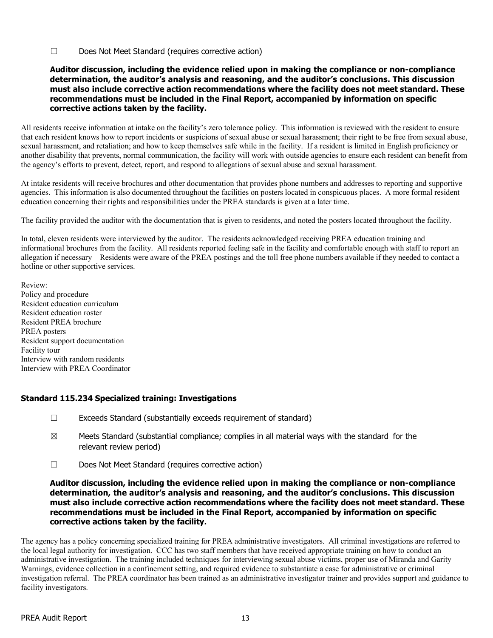☐ Does Not Meet Standard (requires corrective action)

#### Auditor discussion, including the evidence relied upon in making the compliance or non-compliance determination, the auditor's analysis and reasoning, and the auditor's conclusions. This discussion must also include corrective action recommendations where the facility does not meet standard. These recommendations must be included in the Final Report, accompanied by information on specific corrective actions taken by the facility.

All residents receive information at intake on the facility's zero tolerance policy. This information is reviewed with the resident to ensure that each resident knows how to report incidents or suspicions of sexual abuse or sexual harassment; their right to be free from sexual abuse, sexual harassment, and retaliation; and how to keep themselves safe while in the facility. If a resident is limited in English proficiency or another disability that prevents, normal communication, the facility will work with outside agencies to ensure each resident can benefit from the agency's efforts to prevent, detect, report, and respond to allegations of sexual abuse and sexual harassment.

At intake residents will receive brochures and other documentation that provides phone numbers and addresses to reporting and supportive agencies. This information is also documented throughout the facilities on posters located in conspicuous places. A more formal resident education concerning their rights and responsibilities under the PREA standards is given at a later time.

The facility provided the auditor with the documentation that is given to residents, and noted the posters located throughout the facility.

In total, eleven residents were interviewed by the auditor. The residents acknowledged receiving PREA education training and informational brochures from the facility. All residents reported feeling safe in the facility and comfortable enough with staff to report an allegation if necessary Residents were aware of the PREA postings and the toll free phone numbers available if they needed to contact a hotline or other supportive services.

Review: Policy and procedure Resident education curriculum Resident education roster Resident PREA brochure PREA posters Resident support documentation Facility tour Interview with random residents Interview with PREA Coordinator

## Standard 115.234 Specialized training: Investigations

- ☐ Exceeds Standard (substantially exceeds requirement of standard)
- $\boxtimes$  Meets Standard (substantial compliance; complies in all material ways with the standard for the relevant review period)
- ☐ Does Not Meet Standard (requires corrective action)

#### Auditor discussion, including the evidence relied upon in making the compliance or non-compliance determination, the auditor's analysis and reasoning, and the auditor's conclusions. This discussion must also include corrective action recommendations where the facility does not meet standard. These recommendations must be included in the Final Report, accompanied by information on specific corrective actions taken by the facility.

The agency has a policy concerning specialized training for PREA administrative investigators. All criminal investigations are referred to the local legal authority for investigation. CCC has two staff members that have received appropriate training on how to conduct an administrative investigation. The training included techniques for interviewing sexual abuse victims, proper use of Miranda and Garity Warnings, evidence collection in a confinement setting, and required evidence to substantiate a case for administrative or criminal investigation referral. The PREA coordinator has been trained as an administrative investigator trainer and provides support and guidance to facility investigators.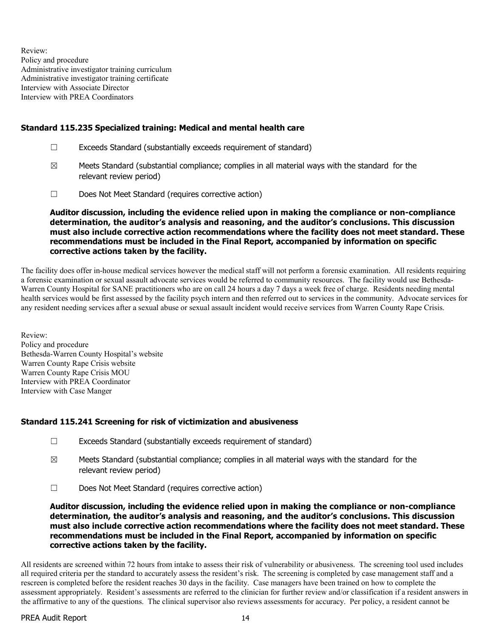Review: Policy and procedure Administrative investigator training curriculum Administrative investigator training certificate Interview with Associate Director Interview with PREA Coordinators

## Standard 115.235 Specialized training: Medical and mental health care

- $\Box$  Exceeds Standard (substantially exceeds requirement of standard)
- $\boxtimes$  Meets Standard (substantial compliance; complies in all material ways with the standard for the relevant review period)
- ☐ Does Not Meet Standard (requires corrective action)

Auditor discussion, including the evidence relied upon in making the compliance or non-compliance determination, the auditor's analysis and reasoning, and the auditor's conclusions. This discussion must also include corrective action recommendations where the facility does not meet standard. These recommendations must be included in the Final Report, accompanied by information on specific corrective actions taken by the facility.

The facility does offer in-house medical services however the medical staff will not perform a forensic examination. All residents requiring a forensic examination or sexual assault advocate services would be referred to community resources. The facility would use Bethesda-Warren County Hospital for SANE practitioners who are on call 24 hours a day 7 days a week free of charge. Residents needing mental health services would be first assessed by the facility psych intern and then referred out to services in the community. Advocate services for any resident needing services after a sexual abuse or sexual assault incident would receive services from Warren County Rape Crisis.

Review: Policy and procedure Bethesda-Warren County Hospital's website Warren County Rape Crisis website Warren County Rape Crisis MOU Interview with PREA Coordinator Interview with Case Manger

## Standard 115.241 Screening for risk of victimization and abusiveness

- $\Box$  Exceeds Standard (substantially exceeds requirement of standard)
- $\boxtimes$  Meets Standard (substantial compliance; complies in all material ways with the standard for the relevant review period)
- ☐ Does Not Meet Standard (requires corrective action)

Auditor discussion, including the evidence relied upon in making the compliance or non-compliance determination, the auditor's analysis and reasoning, and the auditor's conclusions. This discussion must also include corrective action recommendations where the facility does not meet standard. These recommendations must be included in the Final Report, accompanied by information on specific corrective actions taken by the facility.

All residents are screened within 72 hours from intake to assess their risk of vulnerability or abusiveness. The screening tool used includes all required criteria per the standard to accurately assess the resident's risk. The screening is completed by case management staff and a rescreen is completed before the resident reaches 30 days in the facility. Case managers have been trained on how to complete the assessment appropriately. Resident's assessments are referred to the clinician for further review and/or classification if a resident answers in the affirmative to any of the questions. The clinical supervisor also reviews assessments for accuracy. Per policy, a resident cannot be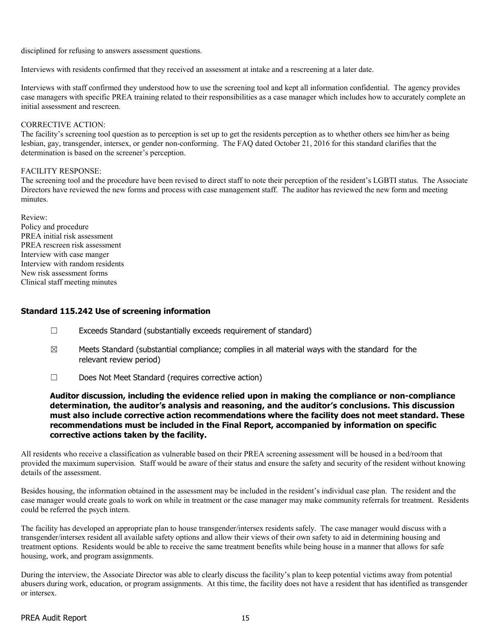disciplined for refusing to answers assessment questions.

Interviews with residents confirmed that they received an assessment at intake and a rescreening at a later date.

Interviews with staff confirmed they understood how to use the screening tool and kept all information confidential. The agency provides case managers with specific PREA training related to their responsibilities as a case manager which includes how to accurately complete an initial assessment and rescreen.

#### CORRECTIVE ACTION:

The facility's screening tool question as to perception is set up to get the residents perception as to whether others see him/her as being lesbian, gay, transgender, intersex, or gender non-conforming. The FAQ dated October 21, 2016 for this standard clarifies that the determination is based on the screener's perception.

#### FACILITY RESPONSE:

The screening tool and the procedure have been revised to direct staff to note their perception of the resident's LGBTI status. The Associate Directors have reviewed the new forms and process with case management staff. The auditor has reviewed the new form and meeting minutes.

Review: Policy and procedure PREA initial risk assessment PREA rescreen risk assessment Interview with case manger Interview with random residents New risk assessment forms Clinical staff meeting minutes

#### Standard 115.242 Use of screening information

- ☐ Exceeds Standard (substantially exceeds requirement of standard)
- $\boxtimes$  Meets Standard (substantial compliance; complies in all material ways with the standard for the relevant review period)
- ☐ Does Not Meet Standard (requires corrective action)

#### Auditor discussion, including the evidence relied upon in making the compliance or non-compliance determination, the auditor's analysis and reasoning, and the auditor's conclusions. This discussion must also include corrective action recommendations where the facility does not meet standard. These recommendations must be included in the Final Report, accompanied by information on specific corrective actions taken by the facility.

All residents who receive a classification as vulnerable based on their PREA screening assessment will be housed in a bed/room that provided the maximum supervision. Staff would be aware of their status and ensure the safety and security of the resident without knowing details of the assessment.

Besides housing, the information obtained in the assessment may be included in the resident's individual case plan. The resident and the case manager would create goals to work on while in treatment or the case manager may make community referrals for treatment. Residents could be referred the psych intern.

The facility has developed an appropriate plan to house transgender/intersex residents safely. The case manager would discuss with a transgender/intersex resident all available safety options and allow their views of their own safety to aid in determining housing and treatment options. Residents would be able to receive the same treatment benefits while being house in a manner that allows for safe housing, work, and program assignments.

During the interview, the Associate Director was able to clearly discuss the facility's plan to keep potential victims away from potential abusers during work, education, or program assignments. At this time, the facility does not have a resident that has identified as transgender or intersex.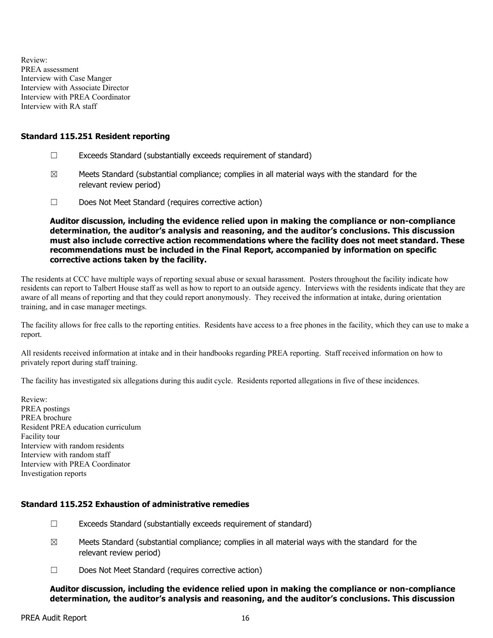Review: PREA assessment Interview with Case Manger Interview with Associate Director Interview with PREA Coordinator Interview with RA staff

#### Standard 115.251 Resident reporting

- ☐ Exceeds Standard (substantially exceeds requirement of standard)
- $\boxtimes$  Meets Standard (substantial compliance; complies in all material ways with the standard for the relevant review period)
- ☐ Does Not Meet Standard (requires corrective action)

Auditor discussion, including the evidence relied upon in making the compliance or non-compliance determination, the auditor's analysis and reasoning, and the auditor's conclusions. This discussion must also include corrective action recommendations where the facility does not meet standard. These recommendations must be included in the Final Report, accompanied by information on specific corrective actions taken by the facility.

The residents at CCC have multiple ways of reporting sexual abuse or sexual harassment. Posters throughout the facility indicate how residents can report to Talbert House staff as well as how to report to an outside agency. Interviews with the residents indicate that they are aware of all means of reporting and that they could report anonymously. They received the information at intake, during orientation training, and in case manager meetings.

The facility allows for free calls to the reporting entities. Residents have access to a free phones in the facility, which they can use to make a report.

All residents received information at intake and in their handbooks regarding PREA reporting. Staff received information on how to privately report during staff training.

The facility has investigated six allegations during this audit cycle. Residents reported allegations in five of these incidences.

Review: PREA postings PREA brochure Resident PREA education curriculum Facility tour Interview with random residents Interview with random staff Interview with PREA Coordinator Investigation reports

## Standard 115.252 Exhaustion of administrative remedies

- $\Box$  Exceeds Standard (substantially exceeds requirement of standard)
- $\boxtimes$  Meets Standard (substantial compliance; complies in all material ways with the standard for the relevant review period)
- ☐ Does Not Meet Standard (requires corrective action)

Auditor discussion, including the evidence relied upon in making the compliance or non-compliance determination, the auditor's analysis and reasoning, and the auditor's conclusions. This discussion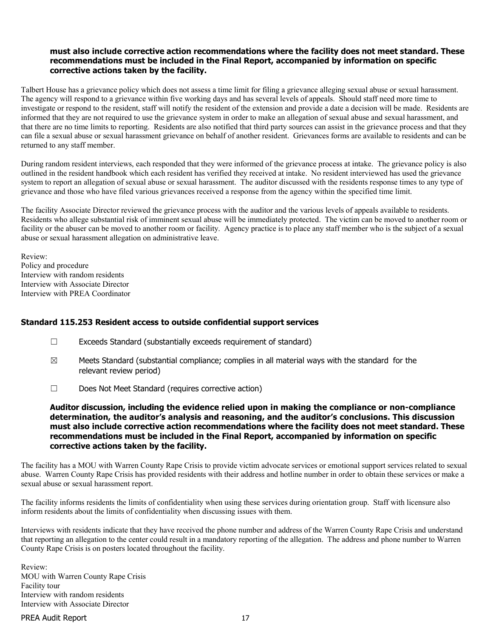## must also include corrective action recommendations where the facility does not meet standard. These recommendations must be included in the Final Report, accompanied by information on specific corrective actions taken by the facility.

Talbert House has a grievance policy which does not assess a time limit for filing a grievance alleging sexual abuse or sexual harassment. The agency will respond to a grievance within five working days and has several levels of appeals. Should staff need more time to investigate or respond to the resident, staff will notify the resident of the extension and provide a date a decision will be made. Residents are informed that they are not required to use the grievance system in order to make an allegation of sexual abuse and sexual harassment, and that there are no time limits to reporting. Residents are also notified that third party sources can assist in the grievance process and that they can file a sexual abuse or sexual harassment grievance on behalf of another resident. Grievances forms are available to residents and can be returned to any staff member.

During random resident interviews, each responded that they were informed of the grievance process at intake. The grievance policy is also outlined in the resident handbook which each resident has verified they received at intake. No resident interviewed has used the grievance system to report an allegation of sexual abuse or sexual harassment. The auditor discussed with the residents response times to any type of grievance and those who have filed various grievances received a response from the agency within the specified time limit.

The facility Associate Director reviewed the grievance process with the auditor and the various levels of appeals available to residents. Residents who allege substantial risk of imminent sexual abuse will be immediately protected. The victim can be moved to another room or facility or the abuser can be moved to another room or facility. Agency practice is to place any staff member who is the subject of a sexual abuse or sexual harassment allegation on administrative leave.

Review: Policy and procedure Interview with random residents Interview with Associate Director Interview with PREA Coordinator

#### Standard 115.253 Resident access to outside confidential support services

- ☐ Exceeds Standard (substantially exceeds requirement of standard)
- $\boxtimes$  Meets Standard (substantial compliance; complies in all material ways with the standard for the relevant review period)
- ☐ Does Not Meet Standard (requires corrective action)

Auditor discussion, including the evidence relied upon in making the compliance or non-compliance determination, the auditor's analysis and reasoning, and the auditor's conclusions. This discussion must also include corrective action recommendations where the facility does not meet standard. These recommendations must be included in the Final Report, accompanied by information on specific corrective actions taken by the facility.

The facility has a MOU with Warren County Rape Crisis to provide victim advocate services or emotional support services related to sexual abuse. Warren County Rape Crisis has provided residents with their address and hotline number in order to obtain these services or make a sexual abuse or sexual harassment report.

The facility informs residents the limits of confidentiality when using these services during orientation group. Staff with licensure also inform residents about the limits of confidentiality when discussing issues with them.

Interviews with residents indicate that they have received the phone number and address of the Warren County Rape Crisis and understand that reporting an allegation to the center could result in a mandatory reporting of the allegation. The address and phone number to Warren County Rape Crisis is on posters located throughout the facility.

Review: MOU with Warren County Rape Crisis Facility tour Interview with random residents Interview with Associate Director

PREA Audit Report 17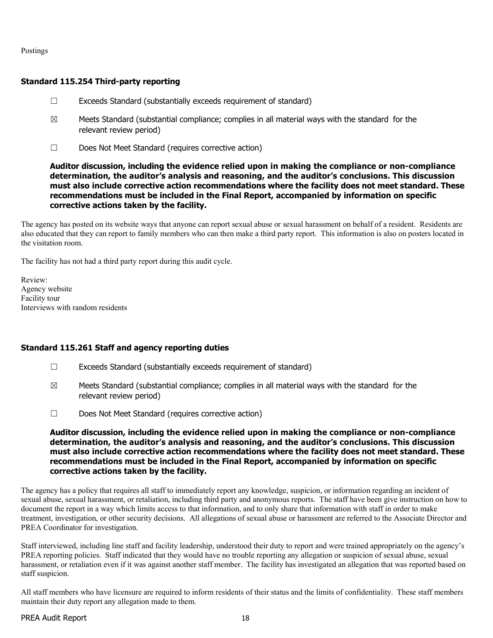Postings

# Standard 115.254 Third-party reporting

- ☐ Exceeds Standard (substantially exceeds requirement of standard)
- $\boxtimes$  Meets Standard (substantial compliance; complies in all material ways with the standard for the relevant review period)
- ☐ Does Not Meet Standard (requires corrective action)

#### Auditor discussion, including the evidence relied upon in making the compliance or non-compliance determination, the auditor's analysis and reasoning, and the auditor's conclusions. This discussion must also include corrective action recommendations where the facility does not meet standard. These recommendations must be included in the Final Report, accompanied by information on specific corrective actions taken by the facility.

The agency has posted on its website ways that anyone can report sexual abuse or sexual harassment on behalf of a resident. Residents are also educated that they can report to family members who can then make a third party report. This information is also on posters located in the visitation room.

The facility has not had a third party report during this audit cycle.

Review: Agency website Facility tour Interviews with random residents

## Standard 115.261 Staff and agency reporting duties

- ☐ Exceeds Standard (substantially exceeds requirement of standard)
- $\boxtimes$  Meets Standard (substantial compliance; complies in all material ways with the standard for the relevant review period)
- ☐ Does Not Meet Standard (requires corrective action)

#### Auditor discussion, including the evidence relied upon in making the compliance or non-compliance determination, the auditor's analysis and reasoning, and the auditor's conclusions. This discussion must also include corrective action recommendations where the facility does not meet standard. These recommendations must be included in the Final Report, accompanied by information on specific corrective actions taken by the facility.

The agency has a policy that requires all staff to immediately report any knowledge, suspicion, or information regarding an incident of sexual abuse, sexual harassment, or retaliation, including third party and anonymous reports. The staff have been give instruction on how to document the report in a way which limits access to that information, and to only share that information with staff in order to make treatment, investigation, or other security decisions. All allegations of sexual abuse or harassment are referred to the Associate Director and PREA Coordinator for investigation.

Staff interviewed, including line staff and facility leadership, understood their duty to report and were trained appropriately on the agency's PREA reporting policies. Staff indicated that they would have no trouble reporting any allegation or suspicion of sexual abuse, sexual harassment, or retaliation even if it was against another staff member. The facility has investigated an allegation that was reported based on staff suspicion.

All staff members who have licensure are required to inform residents of their status and the limits of confidentiality. These staff members maintain their duty report any allegation made to them.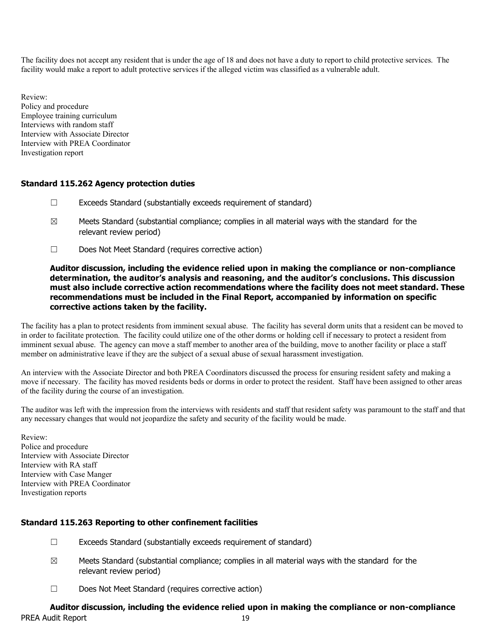The facility does not accept any resident that is under the age of 18 and does not have a duty to report to child protective services. The facility would make a report to adult protective services if the alleged victim was classified as a vulnerable adult.

Review: Policy and procedure Employee training curriculum Interviews with random staff Interview with Associate Director Interview with PREA Coordinator Investigation report

#### Standard 115.262 Agency protection duties

- ☐ Exceeds Standard (substantially exceeds requirement of standard)
- $\boxtimes$  Meets Standard (substantial compliance; complies in all material ways with the standard for the relevant review period)
- ☐ Does Not Meet Standard (requires corrective action)

#### Auditor discussion, including the evidence relied upon in making the compliance or non-compliance determination, the auditor's analysis and reasoning, and the auditor's conclusions. This discussion must also include corrective action recommendations where the facility does not meet standard. These recommendations must be included in the Final Report, accompanied by information on specific corrective actions taken by the facility.

The facility has a plan to protect residents from imminent sexual abuse. The facility has several dorm units that a resident can be moved to in order to facilitate protection. The facility could utilize one of the other dorms or holding cell if necessary to protect a resident from imminent sexual abuse. The agency can move a staff member to another area of the building, move to another facility or place a staff member on administrative leave if they are the subject of a sexual abuse of sexual harassment investigation.

An interview with the Associate Director and both PREA Coordinators discussed the process for ensuring resident safety and making a move if necessary. The facility has moved residents beds or dorms in order to protect the resident. Staff have been assigned to other areas of the facility during the course of an investigation.

The auditor was left with the impression from the interviews with residents and staff that resident safety was paramount to the staff and that any necessary changes that would not jeopardize the safety and security of the facility would be made.

Review: Police and procedure Interview with Associate Director Interview with RA staff Interview with Case Manger Interview with PREA Coordinator Investigation reports

## Standard 115.263 Reporting to other confinement facilities

- $\Box$  Exceeds Standard (substantially exceeds requirement of standard)
- $\boxtimes$  Meets Standard (substantial compliance; complies in all material ways with the standard for the relevant review period)
- ☐ Does Not Meet Standard (requires corrective action)

#### PREA Audit Report 19 Auditor discussion, including the evidence relied upon in making the compliance or non-compliance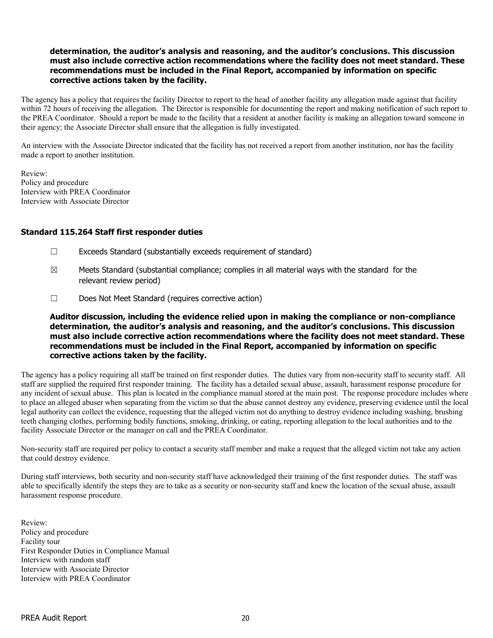## determination, the auditor's analysis and reasoning, and the auditor's conclusions. This discussion must also include corrective action recommendations where the facility does not meet standard. These recommendations must be included in the Final Report, accompanied by information on specific corrective actions taken by the facility.

The agency has a policy that requires the facility Director to report to the head of another facility any allegation made against that facility within 72 hours of receiving the allegation. The Director is responsible for documenting the report and making notification of such report to the PREA Coordinator. Should a report be made to the facility that a resident at another facility is making an allegation toward someone in their agency; the Associate Director shall ensure that the allegation is fully investigated.

An interview with the Associate Director indicated that the facility has not received a report from another institution, nor has the facility made a report to another institution.

Review: Policy and procedure Interview with PREA Coordinator Interview with Associate Director

#### Standard 115.264 Staff first responder duties

- ☐ Exceeds Standard (substantially exceeds requirement of standard)
- $\boxtimes$  Meets Standard (substantial compliance; complies in all material ways with the standard for the relevant review period)
- ☐ Does Not Meet Standard (requires corrective action)

#### Auditor discussion, including the evidence relied upon in making the compliance or non-compliance determination, the auditor's analysis and reasoning, and the auditor's conclusions. This discussion must also include corrective action recommendations where the facility does not meet standard. These recommendations must be included in the Final Report, accompanied by information on specific corrective actions taken by the facility.

The agency has a policy requiring all staff be trained on first responder duties. The duties vary from non-security staff to security staff. All staff are supplied the required first responder training. The facility has a detailed sexual abuse, assault, harassment response procedure for any incident of sexual abuse. This plan is located in the compliance manual stored at the main post. The response procedure includes where to place an alleged abuser when separating from the victim so that the abuse cannot destroy any evidence, preserving evidence until the local legal authority can collect the evidence, requesting that the alleged victim not do anything to destroy evidence including washing, brushing teeth changing clothes, performing bodily functions, smoking, drinking, or eating, reporting allegation to the local authorities and to the facility Associate Director or the manager on call and the PREA Coordinator.

Non-security staff are required per policy to contact a security staff member and make a request that the alleged victim not take any action that could destroy evidence.

During staff interviews, both security and non-security staff have acknowledged their training of the first responder duties. The staff was able to specifically identify the steps they are to take as a security or non-security staff and knew the location of the sexual abuse, assault harassment response procedure.

Review: Policy and procedure Facility tour First Responder Duties in Compliance Manual Interview with random staff Interview with Associate Director Interview with PREA Coordinator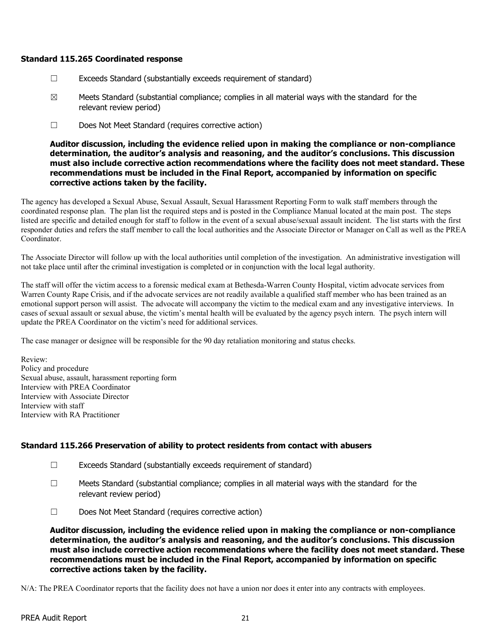#### Standard 115.265 Coordinated response

- $\Box$  Exceeds Standard (substantially exceeds requirement of standard)
- $\boxtimes$  Meets Standard (substantial compliance; complies in all material ways with the standard for the relevant review period)
- ☐ Does Not Meet Standard (requires corrective action)

Auditor discussion, including the evidence relied upon in making the compliance or non-compliance determination, the auditor's analysis and reasoning, and the auditor's conclusions. This discussion must also include corrective action recommendations where the facility does not meet standard. These recommendations must be included in the Final Report, accompanied by information on specific corrective actions taken by the facility.

The agency has developed a Sexual Abuse, Sexual Assault, Sexual Harassment Reporting Form to walk staff members through the coordinated response plan. The plan list the required steps and is posted in the Compliance Manual located at the main post. The steps listed are specific and detailed enough for staff to follow in the event of a sexual abuse/sexual assault incident. The list starts with the first responder duties and refers the staff member to call the local authorities and the Associate Director or Manager on Call as well as the PREA Coordinator.

The Associate Director will follow up with the local authorities until completion of the investigation. An administrative investigation will not take place until after the criminal investigation is completed or in conjunction with the local legal authority.

The staff will offer the victim access to a forensic medical exam at Bethesda-Warren County Hospital, victim advocate services from Warren County Rape Crisis, and if the advocate services are not readily available a qualified staff member who has been trained as an emotional support person will assist. The advocate will accompany the victim to the medical exam and any investigative interviews. In cases of sexual assault or sexual abuse, the victim's mental health will be evaluated by the agency psych intern. The psych intern will update the PREA Coordinator on the victim's need for additional services.

The case manager or designee will be responsible for the 90 day retaliation monitoring and status checks.

Review: Policy and procedure Sexual abuse, assault, harassment reporting form Interview with PREA Coordinator Interview with Associate Director Interview with staff Interview with RA Practitioner

## Standard 115.266 Preservation of ability to protect residents from contact with abusers

- ☐ Exceeds Standard (substantially exceeds requirement of standard)
- ☐ Meets Standard (substantial compliance; complies in all material ways with the standard for the relevant review period)
- ☐ Does Not Meet Standard (requires corrective action)

Auditor discussion, including the evidence relied upon in making the compliance or non-compliance determination, the auditor's analysis and reasoning, and the auditor's conclusions. This discussion must also include corrective action recommendations where the facility does not meet standard. These recommendations must be included in the Final Report, accompanied by information on specific corrective actions taken by the facility.

N/A: The PREA Coordinator reports that the facility does not have a union nor does it enter into any contracts with employees.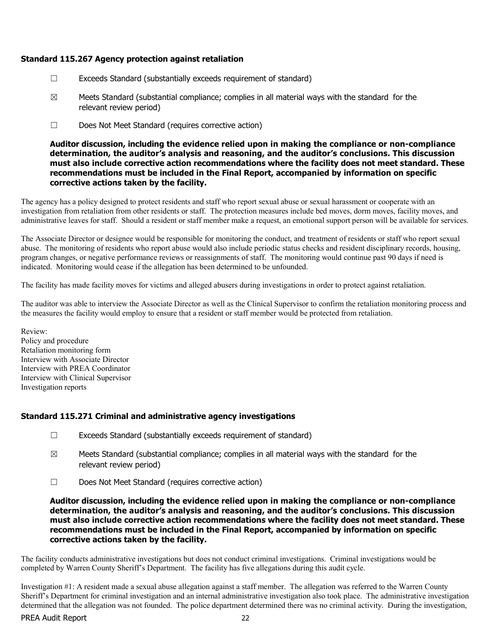### Standard 115.267 Agency protection against retaliation

- ☐ Exceeds Standard (substantially exceeds requirement of standard)
- $\boxtimes$  Meets Standard (substantial compliance; complies in all material ways with the standard for the relevant review period)
- ☐ Does Not Meet Standard (requires corrective action)

Auditor discussion, including the evidence relied upon in making the compliance or non-compliance determination, the auditor's analysis and reasoning, and the auditor's conclusions. This discussion must also include corrective action recommendations where the facility does not meet standard. These recommendations must be included in the Final Report, accompanied by information on specific corrective actions taken by the facility.

The agency has a policy designed to protect residents and staff who report sexual abuse or sexual harassment or cooperate with an investigation from retaliation from other residents or staff. The protection measures include bed moves, dorm moves, facility moves, and administrative leaves for staff. Should a resident or staff member make a request, an emotional support person will be available for services.

The Associate Director or designee would be responsible for monitoring the conduct, and treatment of residents or staff who report sexual abuse. The monitoring of residents who report abuse would also include periodic status checks and resident disciplinary records, housing, program changes, or negative performance reviews or reassignments of staff. The monitoring would continue past 90 days if need is indicated. Monitoring would cease if the allegation has been determined to be unfounded.

The facility has made facility moves for victims and alleged abusers during investigations in order to protect against retaliation.

The auditor was able to interview the Associate Director as well as the Clinical Supervisor to confirm the retaliation monitoring process and the measures the facility would employ to ensure that a resident or staff member would be protected from retaliation.

Review: Policy and procedure Retaliation monitoring form Interview with Associate Director Interview with PREA Coordinator Interview with Clinical Supervisor Investigation reports

## Standard 115.271 Criminal and administrative agency investigations

- ☐ Exceeds Standard (substantially exceeds requirement of standard)
- $\boxtimes$  Meets Standard (substantial compliance; complies in all material ways with the standard for the relevant review period)
- ☐ Does Not Meet Standard (requires corrective action)

Auditor discussion, including the evidence relied upon in making the compliance or non-compliance determination, the auditor's analysis and reasoning, and the auditor's conclusions. This discussion must also include corrective action recommendations where the facility does not meet standard. These recommendations must be included in the Final Report, accompanied by information on specific corrective actions taken by the facility.

The facility conducts administrative investigations but does not conduct criminal investigations. Criminal investigations would be completed by Warren County Sheriff's Department. The facility has five allegations during this audit cycle.

Investigation #1: A resident made a sexual abuse allegation against a staff member. The allegation was referred to the Warren County Sheriff's Department for criminal investigation and an internal administrative investigation also took place. The administrative investigation determined that the allegation was not founded. The police department determined there was no criminal activity. During the investigation,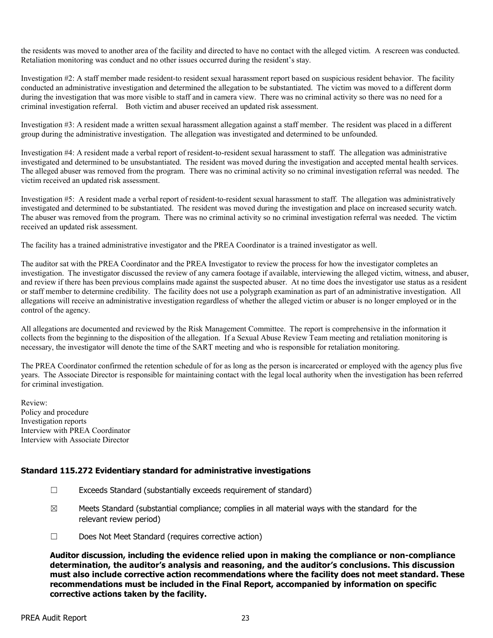the residents was moved to another area of the facility and directed to have no contact with the alleged victim. A rescreen was conducted. Retaliation monitoring was conduct and no other issues occurred during the resident's stay.

Investigation #2: A staff member made resident-to resident sexual harassment report based on suspicious resident behavior. The facility conducted an administrative investigation and determined the allegation to be substantiated. The victim was moved to a different dorm during the investigation that was more visible to staff and in camera view. There was no criminal activity so there was no need for a criminal investigation referral. Both victim and abuser received an updated risk assessment.

Investigation #3: A resident made a written sexual harassment allegation against a staff member. The resident was placed in a different group during the administrative investigation. The allegation was investigated and determined to be unfounded.

Investigation #4: A resident made a verbal report of resident-to-resident sexual harassment to staff. The allegation was administrative investigated and determined to be unsubstantiated. The resident was moved during the investigation and accepted mental health services. The alleged abuser was removed from the program. There was no criminal activity so no criminal investigation referral was needed. The victim received an updated risk assessment.

Investigation #5: A resident made a verbal report of resident-to-resident sexual harassment to staff. The allegation was administratively investigated and determined to be substantiated. The resident was moved during the investigation and place on increased security watch. The abuser was removed from the program. There was no criminal activity so no criminal investigation referral was needed. The victim received an updated risk assessment.

The facility has a trained administrative investigator and the PREA Coordinator is a trained investigator as well.

The auditor sat with the PREA Coordinator and the PREA Investigator to review the process for how the investigator completes an investigation. The investigator discussed the review of any camera footage if available, interviewing the alleged victim, witness, and abuser, and review if there has been previous complains made against the suspected abuser. At no time does the investigator use status as a resident or staff member to determine credibility. The facility does not use a polygraph examination as part of an administrative investigation. All allegations will receive an administrative investigation regardless of whether the alleged victim or abuser is no longer employed or in the control of the agency.

All allegations are documented and reviewed by the Risk Management Committee. The report is comprehensive in the information it collects from the beginning to the disposition of the allegation. If a Sexual Abuse Review Team meeting and retaliation monitoring is necessary, the investigator will denote the time of the SART meeting and who is responsible for retaliation monitoring.

The PREA Coordinator confirmed the retention schedule of for as long as the person is incarcerated or employed with the agency plus five years. The Associate Director is responsible for maintaining contact with the legal local authority when the investigation has been referred for criminal investigation.

Review: Policy and procedure Investigation reports Interview with PREA Coordinator Interview with Associate Director

## Standard 115.272 Evidentiary standard for administrative investigations

- ☐ Exceeds Standard (substantially exceeds requirement of standard)
- $\boxtimes$  Meets Standard (substantial compliance; complies in all material ways with the standard for the relevant review period)
- ☐ Does Not Meet Standard (requires corrective action)

Auditor discussion, including the evidence relied upon in making the compliance or non-compliance determination, the auditor's analysis and reasoning, and the auditor's conclusions. This discussion must also include corrective action recommendations where the facility does not meet standard. These recommendations must be included in the Final Report, accompanied by information on specific corrective actions taken by the facility.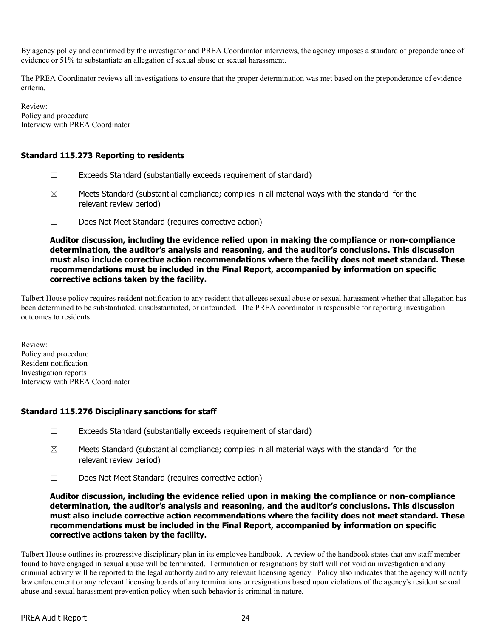By agency policy and confirmed by the investigator and PREA Coordinator interviews, the agency imposes a standard of preponderance of evidence or 51% to substantiate an allegation of sexual abuse or sexual harassment.

The PREA Coordinator reviews all investigations to ensure that the proper determination was met based on the preponderance of evidence criteria.

Review: Policy and procedure Interview with PREA Coordinator

# Standard 115.273 Reporting to residents

- $\Box$  Exceeds Standard (substantially exceeds requirement of standard)
- $\boxtimes$  Meets Standard (substantial compliance; complies in all material ways with the standard for the relevant review period)
- ☐ Does Not Meet Standard (requires corrective action)

Auditor discussion, including the evidence relied upon in making the compliance or non-compliance determination, the auditor's analysis and reasoning, and the auditor's conclusions. This discussion must also include corrective action recommendations where the facility does not meet standard. These recommendations must be included in the Final Report, accompanied by information on specific corrective actions taken by the facility.

Talbert House policy requires resident notification to any resident that alleges sexual abuse or sexual harassment whether that allegation has been determined to be substantiated, unsubstantiated, or unfounded. The PREA coordinator is responsible for reporting investigation outcomes to residents.

Review: Policy and procedure Resident notification Investigation reports Interview with PREA Coordinator

## Standard 115.276 Disciplinary sanctions for staff

- ☐ Exceeds Standard (substantially exceeds requirement of standard)
- $\boxtimes$  Meets Standard (substantial compliance; complies in all material ways with the standard for the relevant review period)
- ☐ Does Not Meet Standard (requires corrective action)

Auditor discussion, including the evidence relied upon in making the compliance or non-compliance determination, the auditor's analysis and reasoning, and the auditor's conclusions. This discussion must also include corrective action recommendations where the facility does not meet standard. These recommendations must be included in the Final Report, accompanied by information on specific corrective actions taken by the facility.

Talbert House outlines its progressive disciplinary plan in its employee handbook. A review of the handbook states that any staff member found to have engaged in sexual abuse will be terminated. Termination or resignations by staff will not void an investigation and any criminal activity will be reported to the legal authority and to any relevant licensing agency. Policy also indicates that the agency will notify law enforcement or any relevant licensing boards of any terminations or resignations based upon violations of the agency's resident sexual abuse and sexual harassment prevention policy when such behavior is criminal in nature.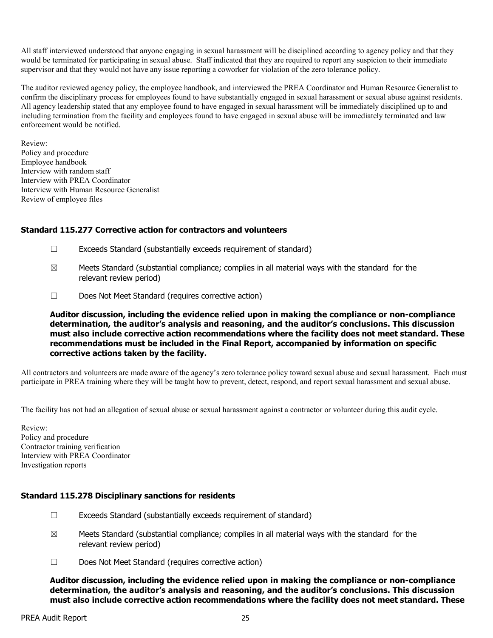All staff interviewed understood that anyone engaging in sexual harassment will be disciplined according to agency policy and that they would be terminated for participating in sexual abuse. Staff indicated that they are required to report any suspicion to their immediate supervisor and that they would not have any issue reporting a coworker for violation of the zero tolerance policy.

The auditor reviewed agency policy, the employee handbook, and interviewed the PREA Coordinator and Human Resource Generalist to confirm the disciplinary process for employees found to have substantially engaged in sexual harassment or sexual abuse against residents. All agency leadership stated that any employee found to have engaged in sexual harassment will be immediately disciplined up to and including termination from the facility and employees found to have engaged in sexual abuse will be immediately terminated and law enforcement would be notified.

Review: Policy and procedure Employee handbook Interview with random staff Interview with PREA Coordinator Interview with Human Resource Generalist Review of employee files

#### Standard 115.277 Corrective action for contractors and volunteers

- ☐ Exceeds Standard (substantially exceeds requirement of standard)
- $\boxtimes$  Meets Standard (substantial compliance; complies in all material ways with the standard for the relevant review period)
- ☐ Does Not Meet Standard (requires corrective action)

Auditor discussion, including the evidence relied upon in making the compliance or non-compliance determination, the auditor's analysis and reasoning, and the auditor's conclusions. This discussion must also include corrective action recommendations where the facility does not meet standard. These recommendations must be included in the Final Report, accompanied by information on specific corrective actions taken by the facility.

All contractors and volunteers are made aware of the agency's zero tolerance policy toward sexual abuse and sexual harassment. Each must participate in PREA training where they will be taught how to prevent, detect, respond, and report sexual harassment and sexual abuse.

The facility has not had an allegation of sexual abuse or sexual harassment against a contractor or volunteer during this audit cycle.

Review: Policy and procedure Contractor training verification Interview with PREA Coordinator Investigation reports

#### Standard 115.278 Disciplinary sanctions for residents

- $\Box$  Exceeds Standard (substantially exceeds requirement of standard)
- $\boxtimes$  Meets Standard (substantial compliance; complies in all material ways with the standard for the relevant review period)
- ☐ Does Not Meet Standard (requires corrective action)

Auditor discussion, including the evidence relied upon in making the compliance or non-compliance determination, the auditor's analysis and reasoning, and the auditor's conclusions. This discussion must also include corrective action recommendations where the facility does not meet standard. These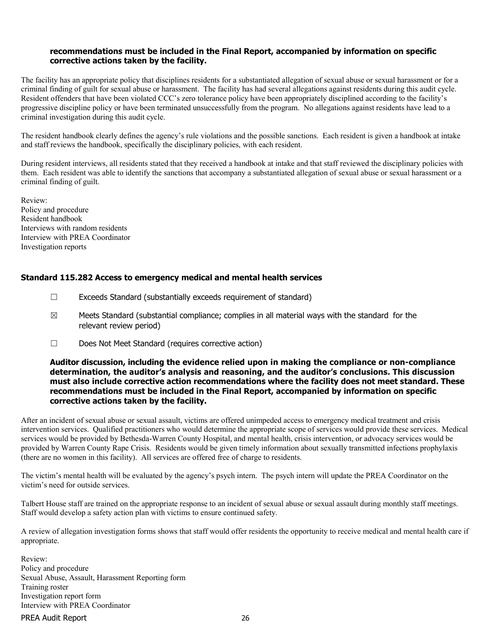#### recommendations must be included in the Final Report, accompanied by information on specific corrective actions taken by the facility.

The facility has an appropriate policy that disciplines residents for a substantiated allegation of sexual abuse or sexual harassment or for a criminal finding of guilt for sexual abuse or harassment. The facility has had several allegations against residents during this audit cycle. Resident offenders that have been violated CCC's zero tolerance policy have been appropriately disciplined according to the facility's progressive discipline policy or have been terminated unsuccessfully from the program. No allegations against residents have lead to a criminal investigation during this audit cycle.

The resident handbook clearly defines the agency's rule violations and the possible sanctions. Each resident is given a handbook at intake and staff reviews the handbook, specifically the disciplinary policies, with each resident.

During resident interviews, all residents stated that they received a handbook at intake and that staff reviewed the disciplinary policies with them. Each resident was able to identify the sanctions that accompany a substantiated allegation of sexual abuse or sexual harassment or a criminal finding of guilt.

Review: Policy and procedure Resident handbook Interviews with random residents Interview with PREA Coordinator Investigation reports

## Standard 115.282 Access to emergency medical and mental health services

- ☐ Exceeds Standard (substantially exceeds requirement of standard)
- $\boxtimes$  Meets Standard (substantial compliance; complies in all material ways with the standard for the relevant review period)
- ☐ Does Not Meet Standard (requires corrective action)

#### Auditor discussion, including the evidence relied upon in making the compliance or non-compliance determination, the auditor's analysis and reasoning, and the auditor's conclusions. This discussion must also include corrective action recommendations where the facility does not meet standard. These recommendations must be included in the Final Report, accompanied by information on specific corrective actions taken by the facility.

After an incident of sexual abuse or sexual assault, victims are offered unimpeded access to emergency medical treatment and crisis intervention services. Qualified practitioners who would determine the appropriate scope of services would provide these services. Medical services would be provided by Bethesda-Warren County Hospital, and mental health, crisis intervention, or advocacy services would be provided by Warren County Rape Crisis. Residents would be given timely information about sexually transmitted infections prophylaxis (there are no women in this facility). All services are offered free of charge to residents.

The victim's mental health will be evaluated by the agency's psych intern. The psych intern will update the PREA Coordinator on the victim's need for outside services.

Talbert House staff are trained on the appropriate response to an incident of sexual abuse or sexual assault during monthly staff meetings. Staff would develop a safety action plan with victims to ensure continued safety.

A review of allegation investigation forms shows that staff would offer residents the opportunity to receive medical and mental health care if appropriate.

Review: Policy and procedure Sexual Abuse, Assault, Harassment Reporting form Training roster Investigation report form Interview with PREA Coordinator

PREA Audit Report 26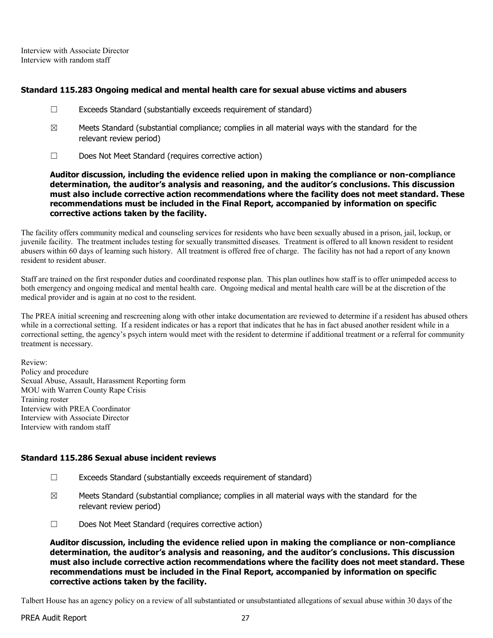Interview with Associate Director Interview with random staff

#### Standard 115.283 Ongoing medical and mental health care for sexual abuse victims and abusers

- $\Box$  Exceeds Standard (substantially exceeds requirement of standard)
- $\boxtimes$  Meets Standard (substantial compliance; complies in all material ways with the standard for the relevant review period)
- ☐ Does Not Meet Standard (requires corrective action)

Auditor discussion, including the evidence relied upon in making the compliance or non-compliance determination, the auditor's analysis and reasoning, and the auditor's conclusions. This discussion must also include corrective action recommendations where the facility does not meet standard. These recommendations must be included in the Final Report, accompanied by information on specific corrective actions taken by the facility.

The facility offers community medical and counseling services for residents who have been sexually abused in a prison, jail, lockup, or juvenile facility. The treatment includes testing for sexually transmitted diseases. Treatment is offered to all known resident to resident abusers within 60 days of learning such history. All treatment is offered free of charge. The facility has not had a report of any known resident to resident abuser.

Staff are trained on the first responder duties and coordinated response plan. This plan outlines how staff is to offer unimpeded access to both emergency and ongoing medical and mental health care. Ongoing medical and mental health care will be at the discretion of the medical provider and is again at no cost to the resident.

The PREA initial screening and rescreening along with other intake documentation are reviewed to determine if a resident has abused others while in a correctional setting. If a resident indicates or has a report that indicates that he has in fact abused another resident while in a correctional setting, the agency's psych intern would meet with the resident to determine if additional treatment or a referral for community treatment is necessary.

Review: Policy and procedure Sexual Abuse, Assault, Harassment Reporting form MOU with Warren County Rape Crisis Training roster Interview with PREA Coordinator Interview with Associate Director Interview with random staff

# Standard 115.286 Sexual abuse incident reviews

- ☐ Exceeds Standard (substantially exceeds requirement of standard)
- $\boxtimes$  Meets Standard (substantial compliance; complies in all material ways with the standard for the relevant review period)
- ☐ Does Not Meet Standard (requires corrective action)

Auditor discussion, including the evidence relied upon in making the compliance or non-compliance determination, the auditor's analysis and reasoning, and the auditor's conclusions. This discussion must also include corrective action recommendations where the facility does not meet standard. These recommendations must be included in the Final Report, accompanied by information on specific corrective actions taken by the facility.

Talbert House has an agency policy on a review of all substantiated or unsubstantiated allegations of sexual abuse within 30 days of the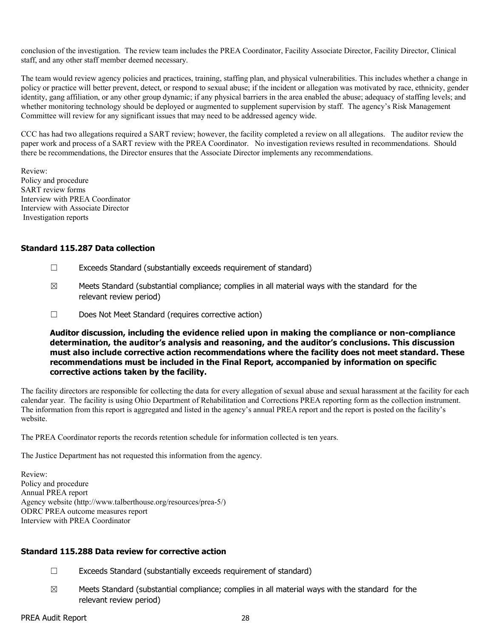conclusion of the investigation. The review team includes the PREA Coordinator, Facility Associate Director, Facility Director, Clinical staff, and any other staff member deemed necessary.

The team would review agency policies and practices, training, staffing plan, and physical vulnerabilities. This includes whether a change in policy or practice will better prevent, detect, or respond to sexual abuse; if the incident or allegation was motivated by race, ethnicity, gender identity, gang affiliation, or any other group dynamic; if any physical barriers in the area enabled the abuse; adequacy of staffing levels; and whether monitoring technology should be deployed or augmented to supplement supervision by staff. The agency's Risk Management Committee will review for any significant issues that may need to be addressed agency wide.

CCC has had two allegations required a SART review; however, the facility completed a review on all allegations. The auditor review the paper work and process of a SART review with the PREA Coordinator. No investigation reviews resulted in recommendations. Should there be recommendations, the Director ensures that the Associate Director implements any recommendations.

Review: Policy and procedure SART review forms Interview with PREA Coordinator Interview with Associate Director Investigation reports

## Standard 115.287 Data collection

- ☐ Exceeds Standard (substantially exceeds requirement of standard)
- ☒ Meets Standard (substantial compliance; complies in all material ways with the standard for the relevant review period)
- ☐ Does Not Meet Standard (requires corrective action)

Auditor discussion, including the evidence relied upon in making the compliance or non-compliance determination, the auditor's analysis and reasoning, and the auditor's conclusions. This discussion must also include corrective action recommendations where the facility does not meet standard. These recommendations must be included in the Final Report, accompanied by information on specific corrective actions taken by the facility.

The facility directors are responsible for collecting the data for every allegation of sexual abuse and sexual harassment at the facility for each calendar year. The facility is using Ohio Department of Rehabilitation and Corrections PREA reporting form as the collection instrument. The information from this report is aggregated and listed in the agency's annual PREA report and the report is posted on the facility's website.

The PREA Coordinator reports the records retention schedule for information collected is ten years.

The Justice Department has not requested this information from the agency.

Review: Policy and procedure Annual PREA report Agency website (http://www.talberthouse.org/resources/prea-5/) ODRC PREA outcome measures report Interview with PREA Coordinator

## Standard 115.288 Data review for corrective action

- ☐ Exceeds Standard (substantially exceeds requirement of standard)
- $\boxtimes$  Meets Standard (substantial compliance; complies in all material ways with the standard for the relevant review period)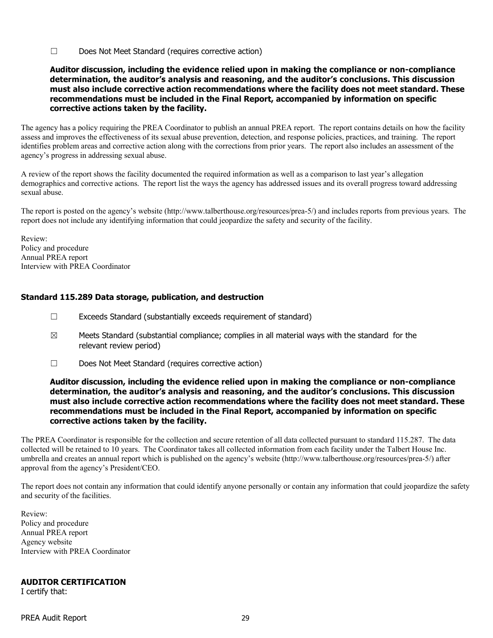☐ Does Not Meet Standard (requires corrective action)

#### Auditor discussion, including the evidence relied upon in making the compliance or non-compliance determination, the auditor's analysis and reasoning, and the auditor's conclusions. This discussion must also include corrective action recommendations where the facility does not meet standard. These recommendations must be included in the Final Report, accompanied by information on specific corrective actions taken by the facility.

The agency has a policy requiring the PREA Coordinator to publish an annual PREA report. The report contains details on how the facility assess and improves the effectiveness of its sexual abuse prevention, detection, and response policies, practices, and training. The report identifies problem areas and corrective action along with the corrections from prior years. The report also includes an assessment of the agency's progress in addressing sexual abuse.

A review of the report shows the facility documented the required information as well as a comparison to last year's allegation demographics and corrective actions. The report list the ways the agency has addressed issues and its overall progress toward addressing sexual abuse.

The report is posted on the agency's website (http://www.talberthouse.org/resources/prea-5/) and includes reports from previous years. The report does not include any identifying information that could jeopardize the safety and security of the facility.

Review: Policy and procedure Annual PREA report Interview with PREA Coordinator

## Standard 115.289 Data storage, publication, and destruction

- ☐ Exceeds Standard (substantially exceeds requirement of standard)
- $\boxtimes$  Meets Standard (substantial compliance; complies in all material ways with the standard for the relevant review period)
- ☐ Does Not Meet Standard (requires corrective action)

#### Auditor discussion, including the evidence relied upon in making the compliance or non-compliance determination, the auditor's analysis and reasoning, and the auditor's conclusions. This discussion must also include corrective action recommendations where the facility does not meet standard. These recommendations must be included in the Final Report, accompanied by information on specific corrective actions taken by the facility.

The PREA Coordinator is responsible for the collection and secure retention of all data collected pursuant to standard 115.287. The data collected will be retained to 10 years. The Coordinator takes all collected information from each facility under the Talbert House Inc. umbrella and creates an annual report which is published on the agency's website (http://www.talberthouse.org/resources/prea-5/) after approval from the agency's President/CEO.

The report does not contain any information that could identify anyone personally or contain any information that could jeopardize the safety and security of the facilities.

Review: Policy and procedure Annual PREA report Agency website Interview with PREA Coordinator

## AUDITOR CERTIFICATION

I certify that: